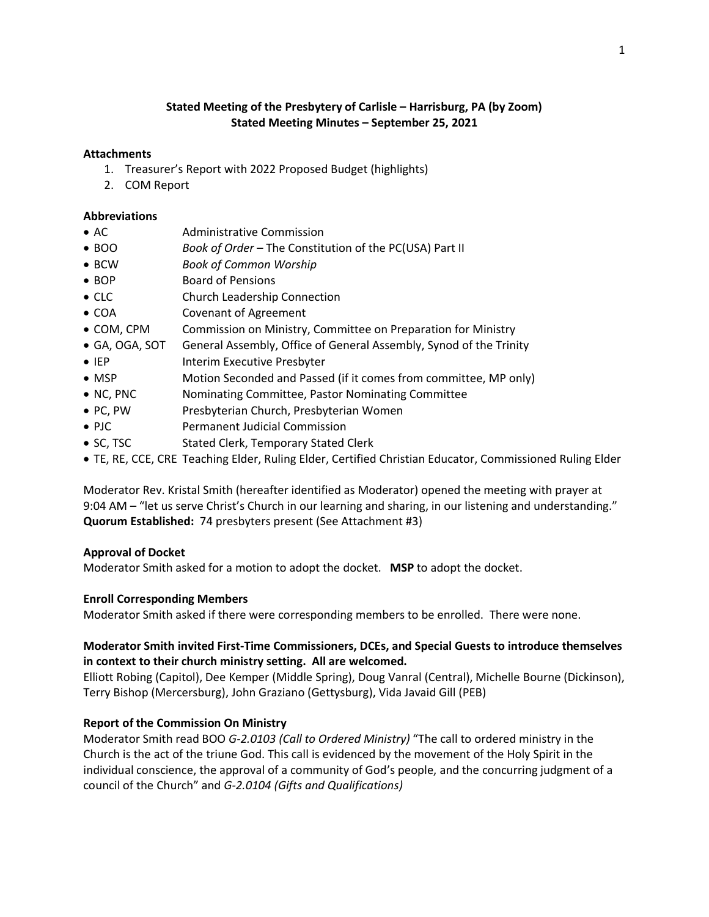## **Stated Meeting of the Presbytery of Carlisle – Harrisburg, PA (by Zoom) Stated Meeting Minutes – September 25, 2021**

#### **Attachments**

- 1. Treasurer's Report with 2022 Proposed Budget (highlights)
- 2. COM Report

#### **Abbreviations**

- AC Administrative Commission
- BOO *Book of Order –* The Constitution of the PC(USA) Part II
- BCW *Book of Common Worship*
- BOP Board of Pensions
- CLC Church Leadership Connection
- COA Covenant of Agreement
- COM, CPM Commission on Ministry, Committee on Preparation for Ministry
- GA, OGA, SOT General Assembly, Office of General Assembly, Synod of the Trinity
- IEP Interim Executive Presbyter
- MSP Motion Seconded and Passed (if it comes from committee, MP only)
- NC, PNC Nominating Committee, Pastor Nominating Committee
- PC, PW Presbyterian Church, Presbyterian Women
- PJC Permanent Judicial Commission
- SC, TSC Stated Clerk, Temporary Stated Clerk
- TE, RE, CCE, CRE Teaching Elder, Ruling Elder, Certified Christian Educator, Commissioned Ruling Elder

Moderator Rev. Kristal Smith (hereafter identified as Moderator) opened the meeting with prayer at 9:04 AM – "let us serve Christ's Church in our learning and sharing, in our listening and understanding." **Quorum Established:** 74 presbyters present (See Attachment #3)

### **Approval of Docket**

Moderator Smith asked for a motion to adopt the docket. **MSP** to adopt the docket.

### **Enroll Corresponding Members**

Moderator Smith asked if there were corresponding members to be enrolled. There were none.

## **Moderator Smith invited First-Time Commissioners, DCEs, and Special Guests to introduce themselves in context to their church ministry setting. All are welcomed.**

Elliott Robing (Capitol), Dee Kemper (Middle Spring), Doug Vanral (Central), Michelle Bourne (Dickinson), Terry Bishop (Mercersburg), John Graziano (Gettysburg), Vida Javaid Gill (PEB)

### **Report of the Commission On Ministry**

Moderator Smith read BOO *G-2.0103 (Call to Ordered Ministry)* "The call to ordered ministry in the Church is the act of the triune God. This call is evidenced by the movement of the Holy Spirit in the individual conscience, the approval of a community of God's people, and the concurring judgment of a council of the Church" and *G-2.0104 (Gifts and Qualifications)*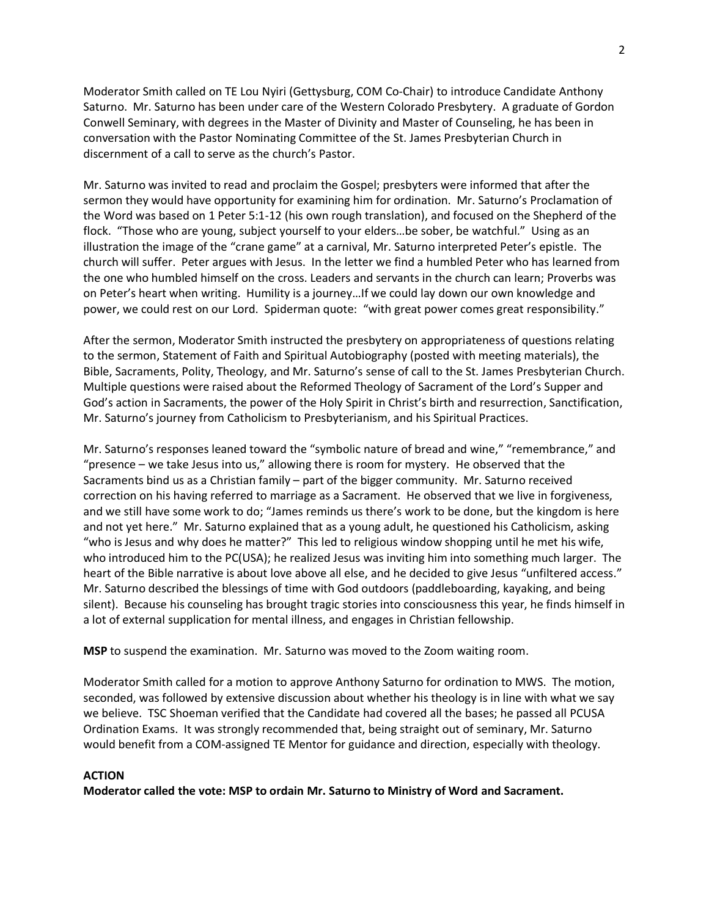Moderator Smith called on TE Lou Nyiri (Gettysburg, COM Co-Chair) to introduce Candidate Anthony Saturno. Mr. Saturno has been under care of the Western Colorado Presbytery. A graduate of Gordon Conwell Seminary, with degrees in the Master of Divinity and Master of Counseling, he has been in conversation with the Pastor Nominating Committee of the St. James Presbyterian Church in discernment of a call to serve as the church's Pastor.

Mr. Saturno was invited to read and proclaim the Gospel; presbyters were informed that after the sermon they would have opportunity for examining him for ordination. Mr. Saturno's Proclamation of the Word was based on 1 Peter 5:1-12 (his own rough translation), and focused on the Shepherd of the flock. "Those who are young, subject yourself to your elders…be sober, be watchful." Using as an illustration the image of the "crane game" at a carnival, Mr. Saturno interpreted Peter's epistle. The church will suffer. Peter argues with Jesus. In the letter we find a humbled Peter who has learned from the one who humbled himself on the cross. Leaders and servants in the church can learn; Proverbs was on Peter's heart when writing. Humility is a journey…If we could lay down our own knowledge and power, we could rest on our Lord. Spiderman quote: "with great power comes great responsibility."

After the sermon, Moderator Smith instructed the presbytery on appropriateness of questions relating to the sermon, Statement of Faith and Spiritual Autobiography (posted with meeting materials), the Bible, Sacraments, Polity, Theology, and Mr. Saturno's sense of call to the St. James Presbyterian Church. Multiple questions were raised about the Reformed Theology of Sacrament of the Lord's Supper and God's action in Sacraments, the power of the Holy Spirit in Christ's birth and resurrection, Sanctification, Mr. Saturno's journey from Catholicism to Presbyterianism, and his Spiritual Practices.

Mr. Saturno's responses leaned toward the "symbolic nature of bread and wine," "remembrance," and "presence – we take Jesus into us," allowing there is room for mystery. He observed that the Sacraments bind us as a Christian family – part of the bigger community. Mr. Saturno received correction on his having referred to marriage as a Sacrament. He observed that we live in forgiveness, and we still have some work to do; "James reminds us there's work to be done, but the kingdom is here and not yet here." Mr. Saturno explained that as a young adult, he questioned his Catholicism, asking "who is Jesus and why does he matter?" This led to religious window shopping until he met his wife, who introduced him to the PC(USA); he realized Jesus was inviting him into something much larger. The heart of the Bible narrative is about love above all else, and he decided to give Jesus "unfiltered access." Mr. Saturno described the blessings of time with God outdoors (paddleboarding, kayaking, and being silent). Because his counseling has brought tragic stories into consciousness this year, he finds himself in a lot of external supplication for mental illness, and engages in Christian fellowship.

**MSP** to suspend the examination. Mr. Saturno was moved to the Zoom waiting room.

Moderator Smith called for a motion to approve Anthony Saturno for ordination to MWS. The motion, seconded, was followed by extensive discussion about whether his theology is in line with what we say we believe. TSC Shoeman verified that the Candidate had covered all the bases; he passed all PCUSA Ordination Exams. It was strongly recommended that, being straight out of seminary, Mr. Saturno would benefit from a COM-assigned TE Mentor for guidance and direction, especially with theology.

#### **ACTION**

**Moderator called the vote: MSP to ordain Mr. Saturno to Ministry of Word and Sacrament.**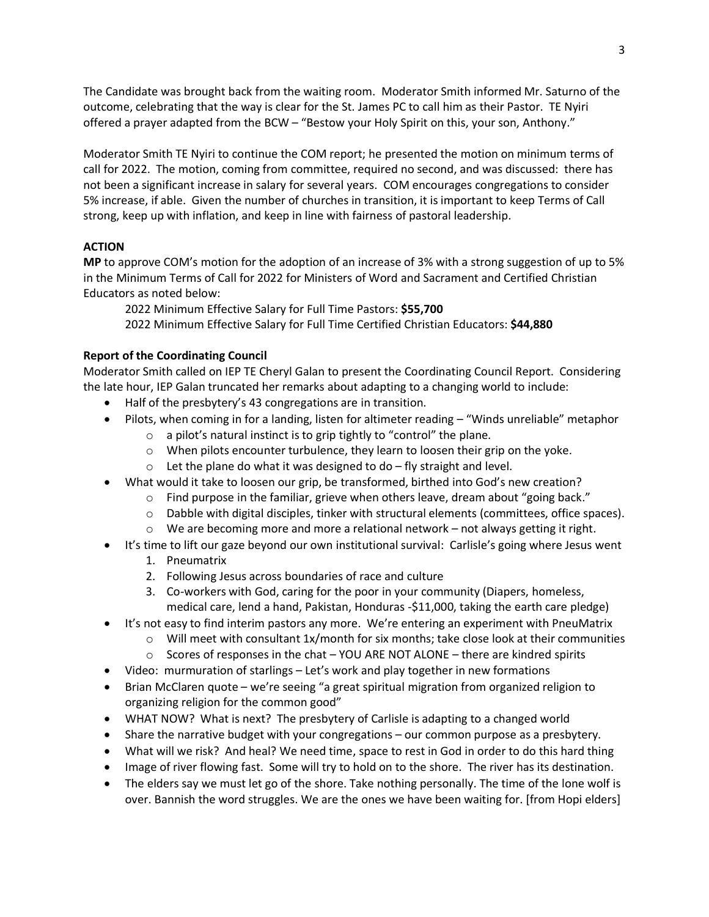The Candidate was brought back from the waiting room. Moderator Smith informed Mr. Saturno of the outcome, celebrating that the way is clear for the St. James PC to call him as their Pastor. TE Nyiri offered a prayer adapted from the BCW – "Bestow your Holy Spirit on this, your son, Anthony."

Moderator Smith TE Nyiri to continue the COM report; he presented the motion on minimum terms of call for 2022. The motion, coming from committee, required no second, and was discussed: there has not been a significant increase in salary for several years. COM encourages congregations to consider 5% increase, if able. Given the number of churches in transition, it is important to keep Terms of Call strong, keep up with inflation, and keep in line with fairness of pastoral leadership.

### **ACTION**

**MP** to approve COM's motion for the adoption of an increase of 3% with a strong suggestion of up to 5% in the Minimum Terms of Call for 2022 for Ministers of Word and Sacrament and Certified Christian Educators as noted below:

2022 Minimum Effective Salary for Full Time Pastors: **\$55,700**

2022 Minimum Effective Salary for Full Time Certified Christian Educators: **\$44,880**

## **Report of the Coordinating Council**

Moderator Smith called on IEP TE Cheryl Galan to present the Coordinating Council Report. Considering the late hour, IEP Galan truncated her remarks about adapting to a changing world to include:

- Half of the presbytery's 43 congregations are in transition.
- Pilots, when coming in for a landing, listen for altimeter reading "Winds unreliable" metaphor
	- $\circ$  a pilot's natural instinct is to grip tightly to "control" the plane.
	- $\circ$  When pilots encounter turbulence, they learn to loosen their grip on the yoke.
	- $\circ$  Let the plane do what it was designed to do fly straight and level.
- What would it take to loosen our grip, be transformed, birthed into God's new creation?
	- $\circ$  Find purpose in the familiar, grieve when others leave, dream about "going back."
	- $\circ$  Dabble with digital disciples, tinker with structural elements (committees, office spaces).
	- $\circ$  We are becoming more and more a relational network not always getting it right.
- It's time to lift our gaze beyond our own institutional survival: Carlisle's going where Jesus went
	- 1. Pneumatrix
	- 2. Following Jesus across boundaries of race and culture
	- 3. Co-workers with God, caring for the poor in your community (Diapers, homeless, medical care, lend a hand, Pakistan, Honduras -\$11,000, taking the earth care pledge)
- It's not easy to find interim pastors any more. We're entering an experiment with PneuMatrix
	- $\circ$  Will meet with consultant 1x/month for six months; take close look at their communities
		- $\circ$  Scores of responses in the chat YOU ARE NOT ALONE there are kindred spirits
- Video: murmuration of starlings Let's work and play together in new formations
- Brian McClaren quote we're seeing "a great spiritual migration from organized religion to organizing religion for the common good"
- WHAT NOW? What is next? The presbytery of Carlisle is adapting to a changed world
- Share the narrative budget with your congregations our common purpose as a presbytery.
- What will we risk? And heal? We need time, space to rest in God in order to do this hard thing
- Image of river flowing fast. Some will try to hold on to the shore. The river has its destination.
- The elders say we must let go of the shore. Take nothing personally. The time of the lone wolf is over. Bannish the word struggles. We are the ones we have been waiting for. [from Hopi elders]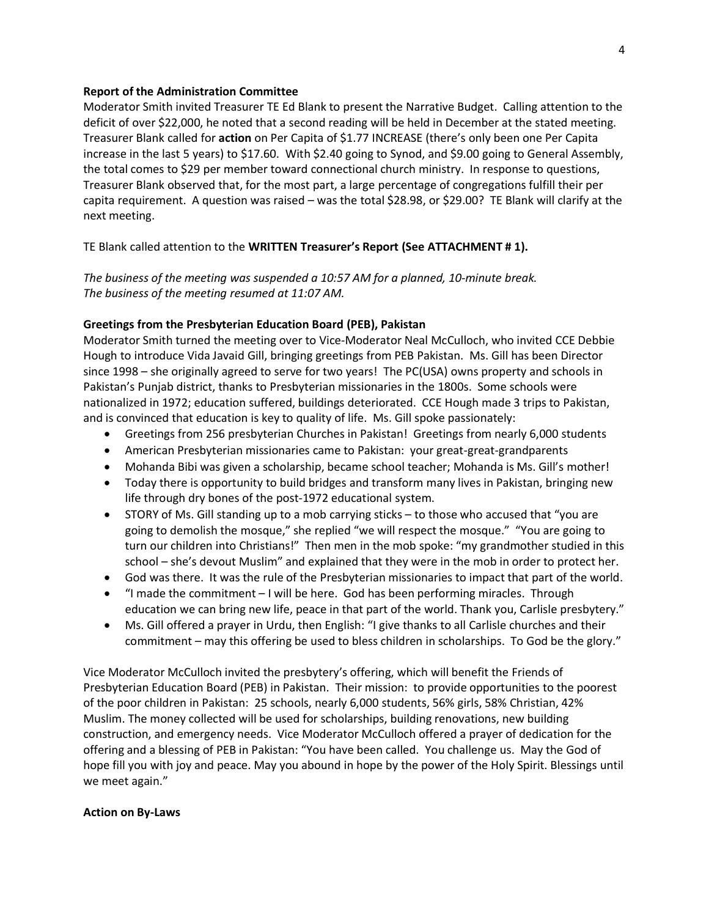#### **Report of the Administration Committee**

Moderator Smith invited Treasurer TE Ed Blank to present the Narrative Budget. Calling attention to the deficit of over \$22,000, he noted that a second reading will be held in December at the stated meeting. Treasurer Blank called for **action** on Per Capita of \$1.77 INCREASE (there's only been one Per Capita increase in the last 5 years) to \$17.60. With \$2.40 going to Synod, and \$9.00 going to General Assembly, the total comes to \$29 per member toward connectional church ministry. In response to questions, Treasurer Blank observed that, for the most part, a large percentage of congregations fulfill their per capita requirement. A question was raised – was the total \$28.98, or \$29.00? TE Blank will clarify at the next meeting.

#### TE Blank called attention to the **WRITTEN Treasurer's Report (See ATTACHMENT # 1).**

*The business of the meeting was suspended a 10:57 AM for a planned, 10-minute break. The business of the meeting resumed at 11:07 AM.*

#### **Greetings from the Presbyterian Education Board (PEB), Pakistan**

Moderator Smith turned the meeting over to Vice-Moderator Neal McCulloch, who invited CCE Debbie Hough to introduce Vida Javaid Gill, bringing greetings from PEB Pakistan. Ms. Gill has been Director since 1998 – she originally agreed to serve for two years! The PC(USA) owns property and schools in Pakistan's Punjab district, thanks to Presbyterian missionaries in the 1800s. Some schools were nationalized in 1972; education suffered, buildings deteriorated. CCE Hough made 3 trips to Pakistan, and is convinced that education is key to quality of life. Ms. Gill spoke passionately:

- Greetings from 256 presbyterian Churches in Pakistan! Greetings from nearly 6,000 students
- American Presbyterian missionaries came to Pakistan: your great-great-grandparents
- Mohanda Bibi was given a scholarship, became school teacher; Mohanda is Ms. Gill's mother!
- Today there is opportunity to build bridges and transform many lives in Pakistan, bringing new life through dry bones of the post-1972 educational system.
- STORY of Ms. Gill standing up to a mob carrying sticks to those who accused that "you are going to demolish the mosque," she replied "we will respect the mosque." "You are going to turn our children into Christians!" Then men in the mob spoke: "my grandmother studied in this school – she's devout Muslim" and explained that they were in the mob in order to protect her.
- God was there. It was the rule of the Presbyterian missionaries to impact that part of the world.
- "I made the commitment I will be here. God has been performing miracles. Through education we can bring new life, peace in that part of the world. Thank you, Carlisle presbytery."
- Ms. Gill offered a prayer in Urdu, then English: "I give thanks to all Carlisle churches and their commitment – may this offering be used to bless children in scholarships. To God be the glory."

Vice Moderator McCulloch invited the presbytery's offering, which will benefit the Friends of Presbyterian Education Board (PEB) in Pakistan. Their mission: to provide opportunities to the poorest of the poor children in Pakistan: 25 schools, nearly 6,000 students, 56% girls, 58% Christian, 42% Muslim. The money collected will be used for scholarships, building renovations, new building construction, and emergency needs. Vice Moderator McCulloch offered a prayer of dedication for the offering and a blessing of PEB in Pakistan: "You have been called. You challenge us. May the God of hope fill you with joy and peace. May you abound in hope by the power of the Holy Spirit. Blessings until we meet again."

#### **Action on By-Laws**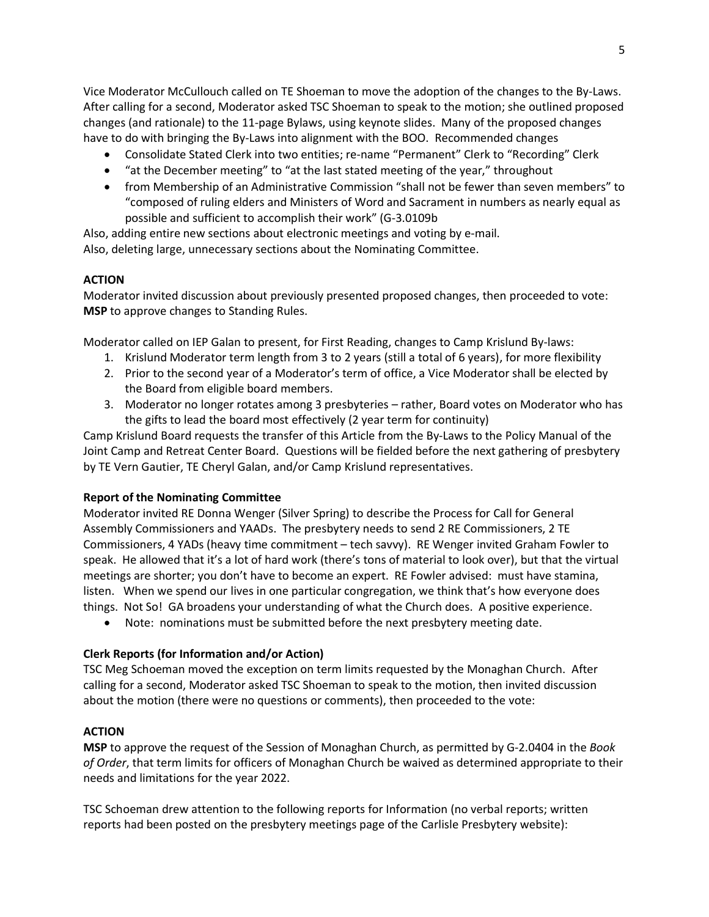Vice Moderator McCullouch called on TE Shoeman to move the adoption of the changes to the By-Laws. After calling for a second, Moderator asked TSC Shoeman to speak to the motion; she outlined proposed changes (and rationale) to the 11-page Bylaws, using keynote slides. Many of the proposed changes have to do with bringing the By-Laws into alignment with the BOO. Recommended changes

- Consolidate Stated Clerk into two entities; re-name "Permanent" Clerk to "Recording" Clerk
- "at the December meeting" to "at the last stated meeting of the year," throughout
- from Membership of an Administrative Commission "shall not be fewer than seven members" to "composed of ruling elders and Ministers of Word and Sacrament in numbers as nearly equal as possible and sufficient to accomplish their work" (G-3.0109b

Also, adding entire new sections about electronic meetings and voting by e-mail.

Also, deleting large, unnecessary sections about the Nominating Committee.

### **ACTION**

Moderator invited discussion about previously presented proposed changes, then proceeded to vote: **MSP** to approve changes to Standing Rules.

Moderator called on IEP Galan to present, for First Reading, changes to Camp Krislund By-laws:

- 1. Krislund Moderator term length from 3 to 2 years (still a total of 6 years), for more flexibility
- 2. Prior to the second year of a Moderator's term of office, a Vice Moderator shall be elected by the Board from eligible board members.
- 3. Moderator no longer rotates among 3 presbyteries rather, Board votes on Moderator who has the gifts to lead the board most effectively (2 year term for continuity)

Camp Krislund Board requests the transfer of this Article from the By-Laws to the Policy Manual of the Joint Camp and Retreat Center Board. Questions will be fielded before the next gathering of presbytery by TE Vern Gautier, TE Cheryl Galan, and/or Camp Krislund representatives.

#### **Report of the Nominating Committee**

Moderator invited RE Donna Wenger (Silver Spring) to describe the Process for Call for General Assembly Commissioners and YAADs. The presbytery needs to send 2 RE Commissioners, 2 TE Commissioners, 4 YADs (heavy time commitment – tech savvy). RE Wenger invited Graham Fowler to speak. He allowed that it's a lot of hard work (there's tons of material to look over), but that the virtual meetings are shorter; you don't have to become an expert. RE Fowler advised: must have stamina, listen. When we spend our lives in one particular congregation, we think that's how everyone does things. Not So! GA broadens your understanding of what the Church does. A positive experience.

• Note: nominations must be submitted before the next presbytery meeting date.

### **Clerk Reports (for Information and/or Action)**

TSC Meg Schoeman moved the exception on term limits requested by the Monaghan Church. After calling for a second, Moderator asked TSC Shoeman to speak to the motion, then invited discussion about the motion (there were no questions or comments), then proceeded to the vote:

### **ACTION**

**MSP** to approve the request of the Session of Monaghan Church, as permitted by G-2.0404 in the *Book of Order*, that term limits for officers of Monaghan Church be waived as determined appropriate to their needs and limitations for the year 2022.

TSC Schoeman drew attention to the following reports for Information (no verbal reports; written reports had been posted on the presbytery meetings page of the Carlisle Presbytery website):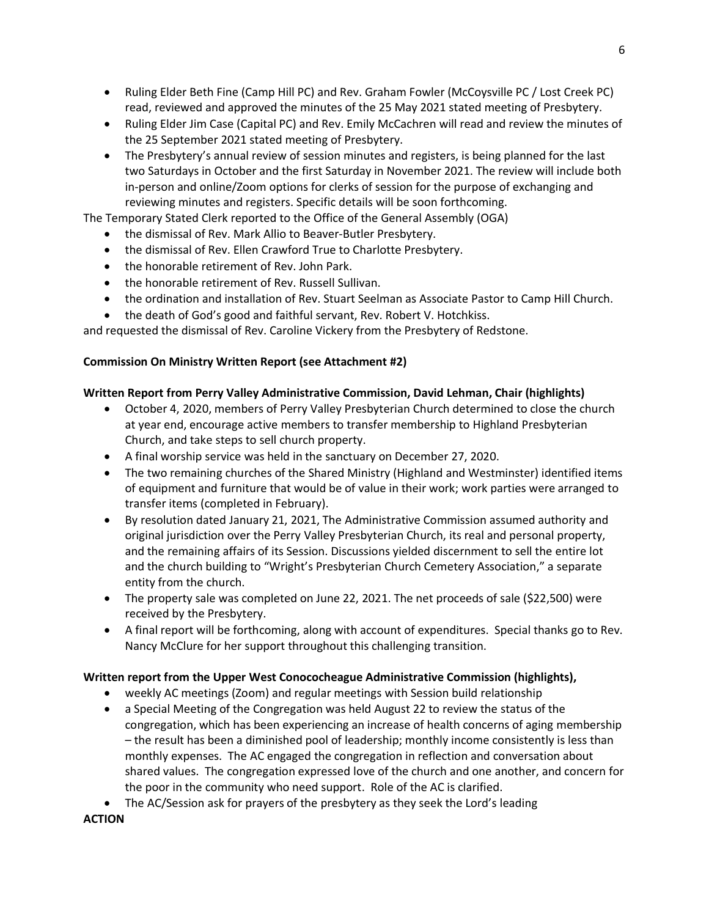- Ruling Elder Beth Fine (Camp Hill PC) and Rev. Graham Fowler (McCoysville PC / Lost Creek PC) read, reviewed and approved the minutes of the 25 May 2021 stated meeting of Presbytery.
- Ruling Elder Jim Case (Capital PC) and Rev. Emily McCachren will read and review the minutes of the 25 September 2021 stated meeting of Presbytery.
- The Presbytery's annual review of session minutes and registers, is being planned for the last two Saturdays in October and the first Saturday in November 2021. The review will include both in-person and online/Zoom options for clerks of session for the purpose of exchanging and reviewing minutes and registers. Specific details will be soon forthcoming.

The Temporary Stated Clerk reported to the Office of the General Assembly (OGA)

- the dismissal of Rev. Mark Allio to Beaver-Butler Presbytery.
- the dismissal of Rev. Ellen Crawford True to Charlotte Presbytery.
- the honorable retirement of Rev. John Park.
- the honorable retirement of Rev. Russell Sullivan.
- the ordination and installation of Rev. Stuart Seelman as Associate Pastor to Camp Hill Church.
- the death of God's good and faithful servant, Rev. Robert V. Hotchkiss.

and requested the dismissal of Rev. Caroline Vickery from the Presbytery of Redstone.

### **Commission On Ministry Written Report (see Attachment #2)**

### **Written Report from Perry Valley Administrative Commission, David Lehman, Chair (highlights)**

- October 4, 2020, members of Perry Valley Presbyterian Church determined to close the church at year end, encourage active members to transfer membership to Highland Presbyterian Church, and take steps to sell church property.
- A final worship service was held in the sanctuary on December 27, 2020.
- The two remaining churches of the Shared Ministry (Highland and Westminster) identified items of equipment and furniture that would be of value in their work; work parties were arranged to transfer items (completed in February).
- By resolution dated January 21, 2021, The Administrative Commission assumed authority and original jurisdiction over the Perry Valley Presbyterian Church, its real and personal property, and the remaining affairs of its Session. Discussions yielded discernment to sell the entire lot and the church building to "Wright's Presbyterian Church Cemetery Association," a separate entity from the church.
- The property sale was completed on June 22, 2021. The net proceeds of sale (\$22,500) were received by the Presbytery.
- A final report will be forthcoming, along with account of expenditures. Special thanks go to Rev. Nancy McClure for her support throughout this challenging transition.

#### **Written report from the Upper West Conococheague Administrative Commission (highlights),**

- weekly AC meetings (Zoom) and regular meetings with Session build relationship
- a Special Meeting of the Congregation was held August 22 to review the status of the congregation, which has been experiencing an increase of health concerns of aging membership – the result has been a diminished pool of leadership; monthly income consistently is less than monthly expenses. The AC engaged the congregation in reflection and conversation about shared values. The congregation expressed love of the church and one another, and concern for the poor in the community who need support. Role of the AC is clarified.
- The AC/Session ask for prayers of the presbytery as they seek the Lord's leading

**ACTION**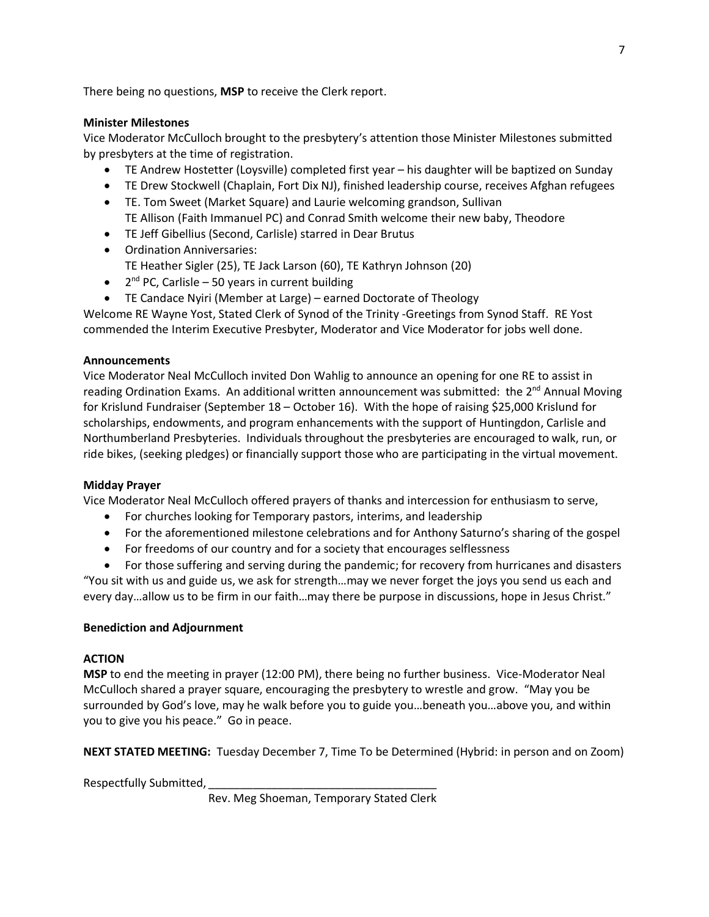There being no questions, **MSP** to receive the Clerk report.

## **Minister Milestones**

Vice Moderator McCulloch brought to the presbytery's attention those Minister Milestones submitted by presbyters at the time of registration.

- TE Andrew Hostetter (Loysville) completed first year his daughter will be baptized on Sunday
- TE Drew Stockwell (Chaplain, Fort Dix NJ), finished leadership course, receives Afghan refugees
- TE. Tom Sweet (Market Square) and Laurie welcoming grandson, Sullivan TE Allison (Faith Immanuel PC) and Conrad Smith welcome their new baby, Theodore
- TE Jeff Gibellius (Second, Carlisle) starred in Dear Brutus
- Ordination Anniversaries:
- TE Heather Sigler (25), TE Jack Larson (60), TE Kathryn Johnson (20)
- $2<sup>nd</sup> PC$ , Carlisle 50 years in current building
- TE Candace Nyiri (Member at Large) earned Doctorate of Theology

Welcome RE Wayne Yost, Stated Clerk of Synod of the Trinity -Greetings from Synod Staff. RE Yost commended the Interim Executive Presbyter, Moderator and Vice Moderator for jobs well done.

## **Announcements**

Vice Moderator Neal McCulloch invited Don Wahlig to announce an opening for one RE to assist in reading Ordination Exams. An additional written announcement was submitted: the 2<sup>nd</sup> Annual Moving for Krislund Fundraiser (September 18 – October 16).With the hope of raising \$25,000 Krislund for scholarships, endowments, and program enhancements with the support of Huntingdon, Carlisle and Northumberland Presbyteries. Individuals throughout the presbyteries are encouraged to walk, run, or ride bikes, (seeking pledges) or financially support those who are participating in the virtual movement.

### **Midday Prayer**

Vice Moderator Neal McCulloch offered prayers of thanks and intercession for enthusiasm to serve,

- For churches looking for Temporary pastors, interims, and leadership
- For the aforementioned milestone celebrations and for Anthony Saturno's sharing of the gospel
- For freedoms of our country and for a society that encourages selflessness

• For those suffering and serving during the pandemic; for recovery from hurricanes and disasters "You sit with us and guide us, we ask for strength…may we never forget the joys you send us each and every day…allow us to be firm in our faith…may there be purpose in discussions, hope in Jesus Christ."

### **Benediction and Adjournment**

### **ACTION**

**MSP** to end the meeting in prayer (12:00 PM), there being no further business. Vice-Moderator Neal McCulloch shared a prayer square, encouraging the presbytery to wrestle and grow. "May you be surrounded by God's love, may he walk before you to guide you…beneath you…above you, and within you to give you his peace." Go in peace.

**NEXT STATED MEETING:** Tuesday December 7, Time To be Determined (Hybrid: in person and on Zoom)

Respectfully Submitted,

Rev. Meg Shoeman, Temporary Stated Clerk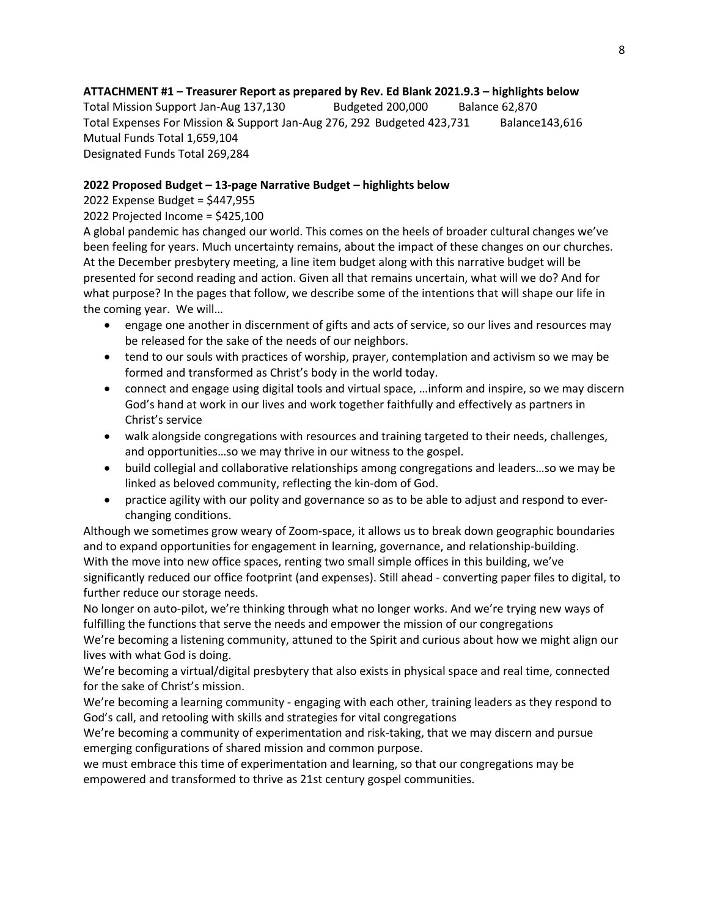# **ATTACHMENT #1 – Treasurer Report as prepared by Rev. Ed Blank 2021.9.3 – highlights below**

Total Mission Support Jan-Aug 137,130 Budgeted 200,000 Balance 62,870 Total Expenses For Mission & Support Jan-Aug 276, 292 Budgeted 423,731 Balance143,616 Mutual Funds Total 1,659,104 Designated Funds Total 269,284

### **2022 Proposed Budget – 13-page Narrative Budget – highlights below**

## 2022 Expense Budget = \$447,955

## 2022 Projected Income = \$425,100

A global pandemic has changed our world. This comes on the heels of broader cultural changes we've been feeling for years. Much uncertainty remains, about the impact of these changes on our churches. At the December presbytery meeting, a line item budget along with this narrative budget will be presented for second reading and action. Given all that remains uncertain, what will we do? And for what purpose? In the pages that follow, we describe some of the intentions that will shape our life in the coming year. We will…

- engage one another in discernment of gifts and acts of service, so our lives and resources may be released for the sake of the needs of our neighbors.
- tend to our souls with practices of worship, prayer, contemplation and activism so we may be formed and transformed as Christ's body in the world today.
- connect and engage using digital tools and virtual space, …inform and inspire, so we may discern God's hand at work in our lives and work together faithfully and effectively as partners in Christ's service
- walk alongside congregations with resources and training targeted to their needs, challenges, and opportunities…so we may thrive in our witness to the gospel.
- build collegial and collaborative relationships among congregations and leaders…so we may be linked as beloved community, reflecting the kin-dom of God.
- practice agility with our polity and governance so as to be able to adjust and respond to everchanging conditions.

Although we sometimes grow weary of Zoom-space, it allows us to break down geographic boundaries and to expand opportunities for engagement in learning, governance, and relationship-building. With the move into new office spaces, renting two small simple offices in this building, we've significantly reduced our office footprint (and expenses). Still ahead - converting paper files to digital, to further reduce our storage needs.

No longer on auto-pilot, we're thinking through what no longer works. And we're trying new ways of fulfilling the functions that serve the needs and empower the mission of our congregations

We're becoming a listening community, attuned to the Spirit and curious about how we might align our lives with what God is doing.

We're becoming a virtual/digital presbytery that also exists in physical space and real time, connected for the sake of Christ's mission.

We're becoming a learning community - engaging with each other, training leaders as they respond to God's call, and retooling with skills and strategies for vital congregations

We're becoming a community of experimentation and risk-taking, that we may discern and pursue emerging configurations of shared mission and common purpose.

we must embrace this time of experimentation and learning, so that our congregations may be empowered and transformed to thrive as 21st century gospel communities.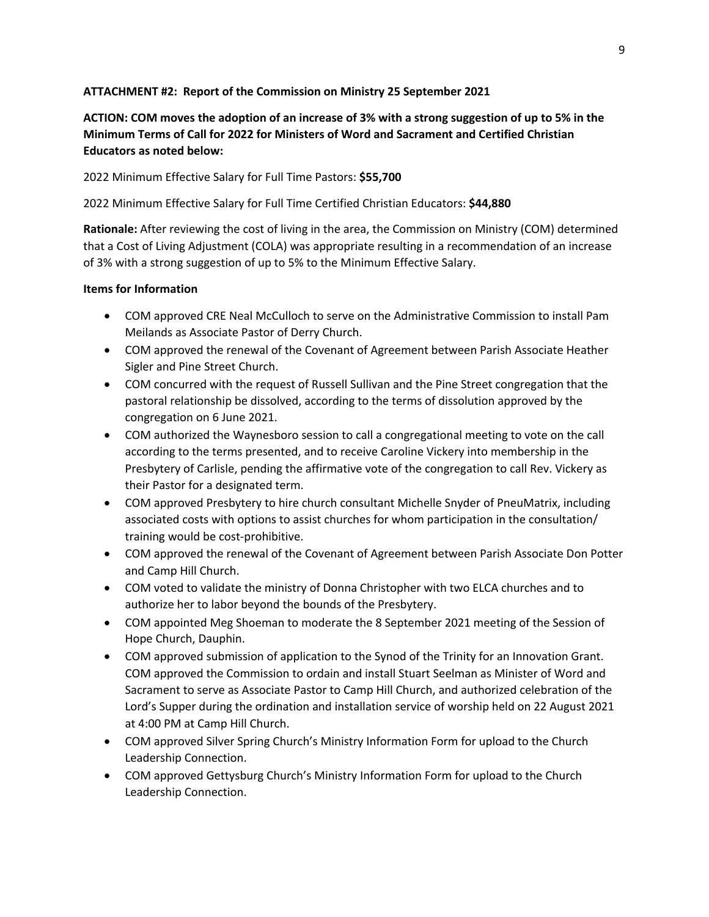### **ATTACHMENT #2: Report of the Commission on Ministry 25 September 2021**

# **ACTION: COM moves the adoption of an increase of 3% with a strong suggestion of up to 5% in the Minimum Terms of Call for 2022 for Ministers of Word and Sacrament and Certified Christian Educators as noted below:**

2022 Minimum Effective Salary for Full Time Pastors: **\$55,700**

## 2022 Minimum Effective Salary for Full Time Certified Christian Educators: **\$44,880**

**Rationale:** After reviewing the cost of living in the area, the Commission on Ministry (COM) determined that a Cost of Living Adjustment (COLA) was appropriate resulting in a recommendation of an increase of 3% with a strong suggestion of up to 5% to the Minimum Effective Salary.

### **Items for Information**

- COM approved CRE Neal McCulloch to serve on the Administrative Commission to install Pam Meilands as Associate Pastor of Derry Church.
- COM approved the renewal of the Covenant of Agreement between Parish Associate Heather Sigler and Pine Street Church.
- COM concurred with the request of Russell Sullivan and the Pine Street congregation that the pastoral relationship be dissolved, according to the terms of dissolution approved by the congregation on 6 June 2021.
- COM authorized the Waynesboro session to call a congregational meeting to vote on the call according to the terms presented, and to receive Caroline Vickery into membership in the Presbytery of Carlisle, pending the affirmative vote of the congregation to call Rev. Vickery as their Pastor for a designated term.
- COM approved Presbytery to hire church consultant Michelle Snyder of PneuMatrix, including associated costs with options to assist churches for whom participation in the consultation/ training would be cost-prohibitive.
- COM approved the renewal of the Covenant of Agreement between Parish Associate Don Potter and Camp Hill Church.
- COM voted to validate the ministry of Donna Christopher with two ELCA churches and to authorize her to labor beyond the bounds of the Presbytery.
- COM appointed Meg Shoeman to moderate the 8 September 2021 meeting of the Session of Hope Church, Dauphin.
- COM approved submission of application to the Synod of the Trinity for an Innovation Grant. COM approved the Commission to ordain and install Stuart Seelman as Minister of Word and Sacrament to serve as Associate Pastor to Camp Hill Church, and authorized celebration of the Lord's Supper during the ordination and installation service of worship held on 22 August 2021 at 4:00 PM at Camp Hill Church.
- COM approved Silver Spring Church's Ministry Information Form for upload to the Church Leadership Connection.
- COM approved Gettysburg Church's Ministry Information Form for upload to the Church Leadership Connection.